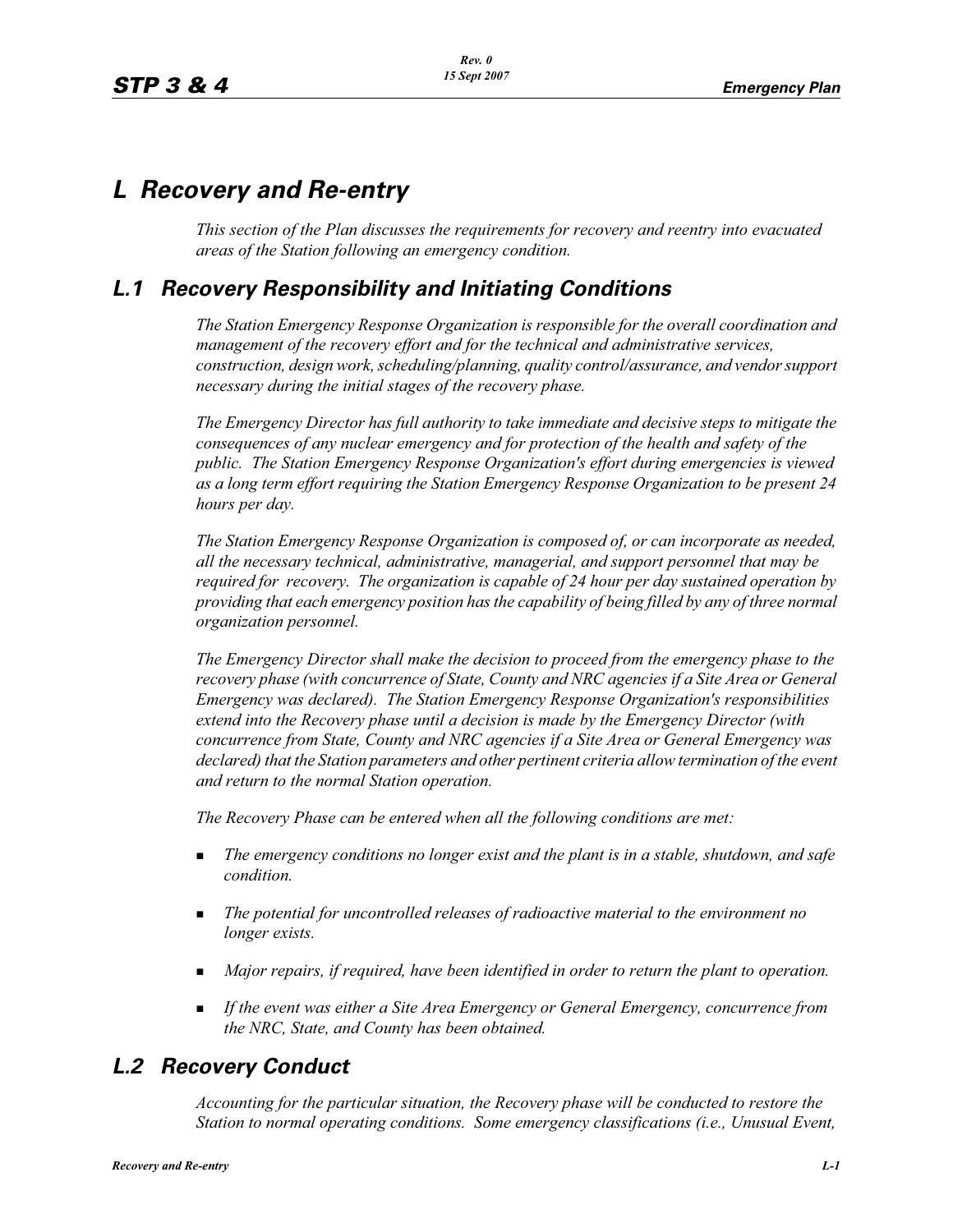# *L Recovery and Re-entry*

*This section of the Plan discusses the requirements for recovery and reentry into evacuated areas of the Station following an emergency condition.* 

## *L.1 Recovery Responsibility and Initiating Conditions*

*The Station Emergency Response Organization is responsible for the overall coordination and management of the recovery effort and for the technical and administrative services, construction, design work, scheduling/planning, quality control/assurance, and vendor support necessary during the initial stages of the recovery phase.*

*The Emergency Director has full authority to take immediate and decisive steps to mitigate the consequences of any nuclear emergency and for protection of the health and safety of the public. The Station Emergency Response Organization's effort during emergencies is viewed as a long term effort requiring the Station Emergency Response Organization to be present 24 hours per day.*

*The Station Emergency Response Organization is composed of, or can incorporate as needed, all the necessary technical, administrative, managerial, and support personnel that may be required for recovery. The organization is capable of 24 hour per day sustained operation by providing that each emergency position has the capability of being filled by any of three normal organization personnel.*

*The Emergency Director shall make the decision to proceed from the emergency phase to the recovery phase (with concurrence of State, County and NRC agencies if a Site Area or General Emergency was declared). The Station Emergency Response Organization's responsibilities extend into the Recovery phase until a decision is made by the Emergency Director (with concurrence from State, County and NRC agencies if a Site Area or General Emergency was declared) that the Station parameters and other pertinent criteria allow termination of the event and return to the normal Station operation.*

*The Recovery Phase can be entered when all the following conditions are met:*

- - *The emergency conditions no longer exist and the plant is in a stable, shutdown, and safe condition.*
- - *The potential for uncontrolled releases of radioactive material to the environment no longer exists.*
- $\blacksquare$  *Major repairs, if required, have been identified in order to return the plant to operation.*
- - *If the event was either a Site Area Emergency or General Emergency, concurrence from the NRC, State, and County has been obtained.*

## *L.2 Recovery Conduct*

*Accounting for the particular situation, the Recovery phase will be conducted to restore the Station to normal operating conditions. Some emergency classifications (i.e., Unusual Event,*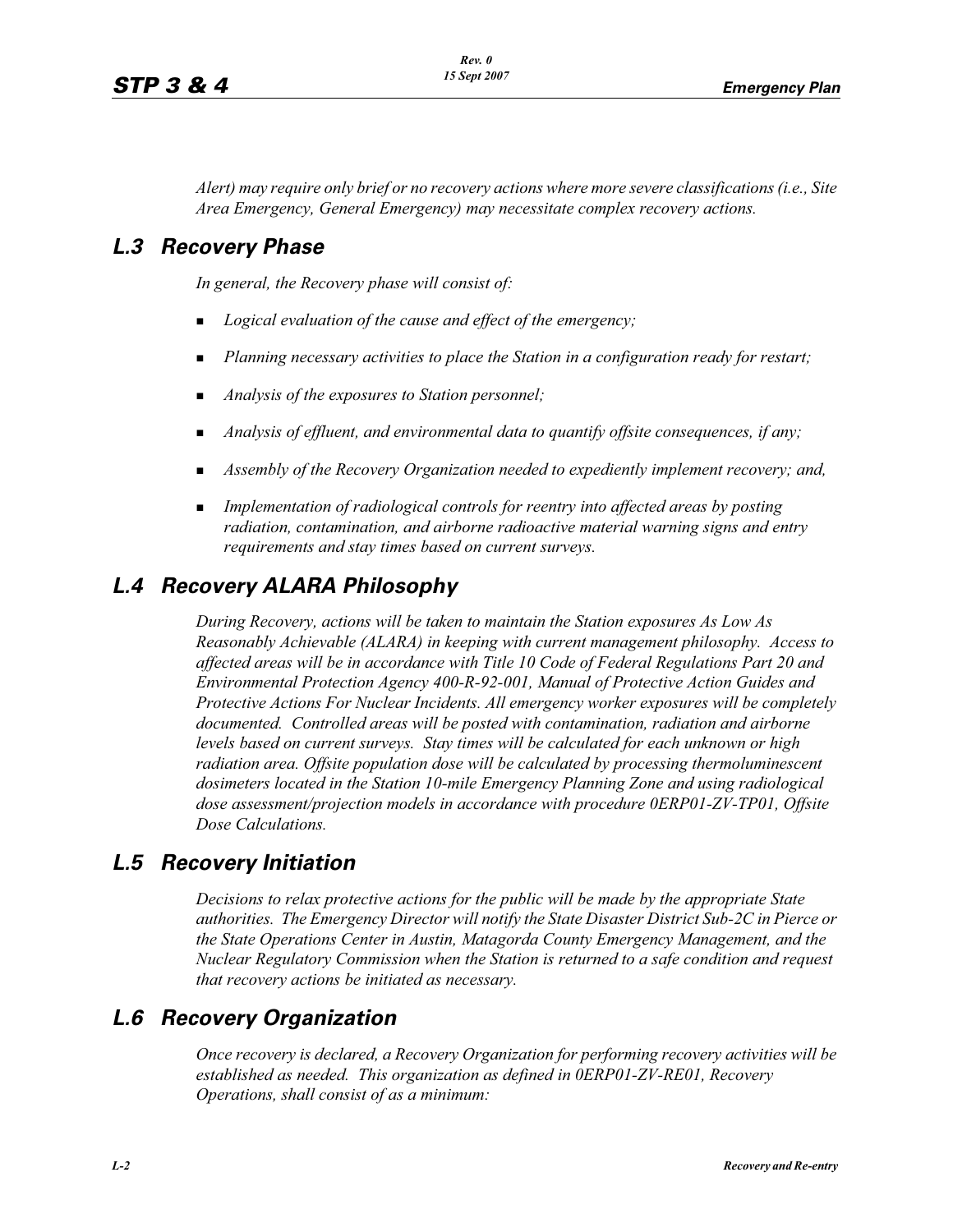*Alert) may require only brief or no recovery actions where more severe classifications (i.e., Site Area Emergency, General Emergency) may necessitate complex recovery actions.*

#### *L.3 Recovery Phase*

*In general, the Recovery phase will consist of:*

- -*Logical evaluation of the cause and effect of the emergency;*
- -*Planning necessary activities to place the Station in a configuration ready for restart;*
- -*Analysis of the exposures to Station personnel;*
- -*Analysis of effluent, and environmental data to quantify offsite consequences, if any;*
- -*Assembly of the Recovery Organization needed to expediently implement recovery; and,*
- **Implementation of radiological controls for reentry into affected areas by posting** *radiation, contamination, and airborne radioactive material warning signs and entry requirements and stay times based on current surveys.*

## *L.4 Recovery ALARA Philosophy*

*During Recovery, actions will be taken to maintain the Station exposures As Low As Reasonably Achievable (ALARA) in keeping with current management philosophy. Access to affected areas will be in accordance with Title 10 Code of Federal Regulations Part 20 and Environmental Protection Agency 400-R-92-001, Manual of Protective Action Guides and Protective Actions For Nuclear Incidents. All emergency worker exposures will be completely documented. Controlled areas will be posted with contamination, radiation and airborne levels based on current surveys. Stay times will be calculated for each unknown or high radiation area. Offsite population dose will be calculated by processing thermoluminescent dosimeters located in the Station 10-mile Emergency Planning Zone and using radiological dose assessment/projection models in accordance with procedure 0ERP01-ZV-TP01, Offsite Dose Calculations.*

## *L.5 Recovery Initiation*

*Decisions to relax protective actions for the public will be made by the appropriate State authorities. The Emergency Director will notify the State Disaster District Sub-2C in Pierce or the State Operations Center in Austin, Matagorda County Emergency Management, and the Nuclear Regulatory Commission when the Station is returned to a safe condition and request that recovery actions be initiated as necessary.*

## *L.6 Recovery Organization*

*Once recovery is declared, a Recovery Organization for performing recovery activities will be established as needed. This organization as defined in 0ERP01-ZV-RE01, Recovery Operations, shall consist of as a minimum:*